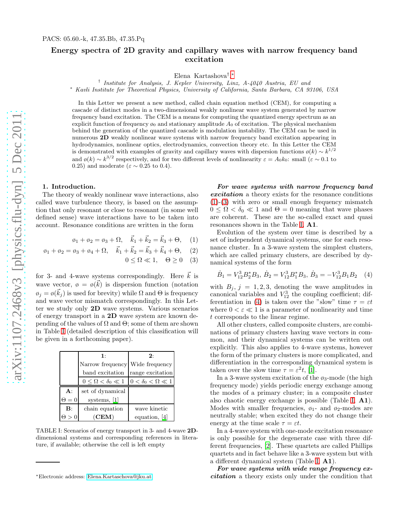## Energy spectra of 2D gravity and capillary waves with narrow frequency band excitation

Elena Kartashova† , [∗](#page-0-0)

† Institute for Analysis, J. Kepler University, Linz, A-4040 Austria, EU and

<sup>∗</sup> Kavli Institute for Theoretical Physics, University of California, Santa Barbara, CA 93106, USA

In this Letter we present a new method, called chain equation method (CEM), for computing a cascade of distinct modes in a two-dimensional weakly nonlinear wave system generated by narrow frequency band excitation. The CEM is a means for computing the quantized energy spectrum as an explicit function of frequency  $\mathfrak{g}_0$  and stationary amplitude  $A_0$  of excitation. The physical mechanism behind the generation of the quantized cascade is modulation instability. The CEM can be used in numerous 2D weakly nonlinear wave systems with narrow frequency band excitation appearing in hydrodynamics, nonlinear optics, electrodynamics, convection theory etc. In this Letter the CEM is demonstrated with examples of gravity and capillary waves with dispersion functions  $\varphi(k) \sim k^{1/2}$ and  $\varphi(k) \sim k^{3/2}$  respectively, and for two different levels of nonlinearity  $\varepsilon = A_0 k_0$ : small  $(\varepsilon \sim 0.1$  to 0.25) and moderate ( $\varepsilon \sim 0.25$  to 0.4).

## 1. Introduction.

The theory of weakly nonlinear wave interactions, also called wave turbulence theory, is based on the assumption that only resonant or close to resonant (in some well defined sense) wave interactions have to be taken into account. Resonance conditions are written in the form

<span id="page-0-2"></span>
$$
\phi_1 + \phi_2 = \phi_3 + \Omega, \quad \vec{k}_1 + \vec{k}_2 = \vec{k}_3 + \Theta,
$$
 (1)

$$
\phi_1 + \phi_2 = \phi_3 + \phi_4 + \Omega, \quad \vec{k}_1 + \vec{k}_2 = \vec{k}_3 + \vec{k}_4 + \Theta,
$$
 (2)

 $0 \leq \Omega \ll 1$ ,  $\Theta \geq 0$  (3)

for 3- and 4-wave systems correspondingly. Here  $\vec{k}$  is wave vector,  $\phi = \phi(\vec{k})$  is dispersion function (notation  $\varphi_j = \varphi(\vec{k}_j)$  is used for brevity) while  $\Omega$  and  $\Theta$  is frequency and wave vector mismatch correspondingly. In this Letter we study only 2D wave systems. Various scenarios of energy transport in a 2D wave system are known depending of the values of  $\Omega$  and  $\Theta$ ; some of them are shown in Table [I](#page-0-1) (detailed description of this classification will be given in a forthcoming paper).

|                | 1:                               | 2:                            |
|----------------|----------------------------------|-------------------------------|
|                | Narrow frequency Wide frequency  |                               |
|                | band excitation                  | range excitation              |
|                | $0 \leq \Omega < \delta_0 \ll 1$ | $0 < \delta_0 < \Omega \ll 1$ |
| $A$ :          | set of dynamical                 |                               |
| $\Theta = 0$   | systems, $ 1 $                   |                               |
| $\mathbf{B}$ : | chain equation                   | wave kinetic                  |
|                |                                  |                               |

<span id="page-0-1"></span>TABLE I: Scenarios of energy transport in 3- and 4-wave 2Ddimensional systems and corresponding references in literature, if available; otherwise the cell is left empty

*For wave systems with narrow frequency band excitation* a theory exists for the resonance conditions [\(1\)](#page-0-2)-[\(3\)](#page-0-2) with zero or small enough frequency mismatch  $0 \leq \Omega < \delta_0 \ll 1$  and  $\Theta = 0$  meaning that wave phases are coherent. These are the so-called exact and quasi resonances shown in the Table [I,](#page-0-1) A1.

Evolution of the system over time is described by a set of independent dynamical systems, one for each resonance cluster. In a 3-wave system the simplest clusters, which are called primary clusters, are described by dynamical systems of the form

<span id="page-0-3"></span>
$$
\dot{B}_1 = V_{12}^3 B_2^* B_3, \ \dot{B}_2 = V_{12}^3 B_1^* B_3, \ \dot{B}_3 = -V_{12}^3 B_1 B_2 \quad (4)
$$

with  $B_j$ ,  $j = 1, 2, 3$ , denoting the wave amplitudes in canonical variables and  $V_{12}^3$  the coupling coefficient; dif-ferentiation in [\(4\)](#page-0-3) is taken over the "slow" time  $\tau = \varepsilon t$ where  $0 < \varepsilon \ll 1$  is a parameter of nonlinearity and time t corresponds to the linear regime.

All other clusters, called composite clusters, are combinations of primary clusters having wave vectors in common, and their dynamical systems can be written out explicitly. This also applies to 4-wave systems, however the form of the primary clusters is more complicated, and differentiation in the corresponding dynamical system is taken over the slow time  $\tau = \varepsilon^2 t$ , [\[1\]](#page-5-0).

In a 3-wave system excitation of the  $\varphi_3$ -mode (the high frequency mode) yields periodic energy exchange among the modes of a primary cluster; in a composite cluster also chaotic energy exchange is possible (Table [I,](#page-0-1) A1). Modes with smaller frequencies,  $\varphi_1$ - and  $\varphi_2$ -modes are neutrally stable; when excited they do not change their energy at the time scale  $\tau = \varepsilon t$ .

In a 4-wave system with one-mode excitation resonance is only possible for the degenerate case with three different frequencies, [\[2\]](#page-5-2). These quartets are called Phillips quartets and in fact behave like a 3-wave system but with a different dynamical system (Table [I,](#page-0-1) A1).

*For wave systems with wide range frequency excitation* a theory exists only under the condition that

<span id="page-0-0"></span><sup>∗</sup>Electronic address: [Elena.Kartaschova@jku.at](mailto:Elena.Kartaschova@jku.at)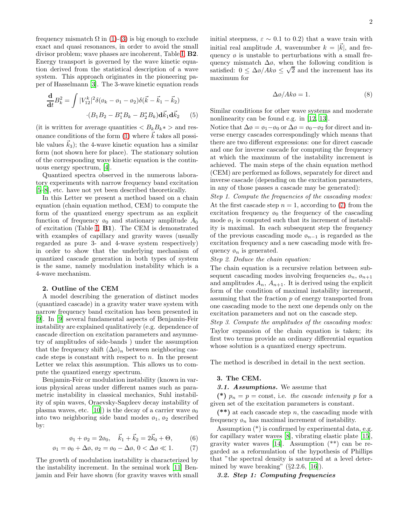frequency mismatch  $\Omega$  in [\(1\)](#page-0-2)-[\(3\)](#page-0-2) is big enough to exclude exact and quasi resonances, in order to avoid the small divisor problem; wave phases are incoherent, Table [I,](#page-0-1) B2. Energy transport is governed by the wave kinetic equation derived from the statistical description of a wave system. This approach originates in the pioneering paper of Hasselmann [\[3\]](#page-5-3). The 3-wave kinetic equation reads

$$
\frac{\mathbf{d}}{\mathbf{d}t}B_k^2 = \int |V_{12}^k|^2 \delta(\phi_k - \phi_1 - \phi_2) \delta(\vec{k} - \vec{k}_1 - \vec{k}_2) \cdot (B_1 B_2 - B_1^* B_k - B_2^* B_k) \mathbf{d}\vec{k}_1 \mathbf{d}\vec{k}_2
$$
(5)

(it is written for average quantities  $\langle B_k B_k * \rangle$  and res-onance conditions of the form [\(1\)](#page-0-2) where  $\vec{k}$  takes all possible values  $k_3$ ); the 4-wave kinetic equation has a similar form (not shown here for place). The stationary solution of the corresponding wave kinetic equation is the continuous energy spectrum, [\[4](#page-5-1)].

Quantized spectra observed in the numerous laboratory experiments with narrow frequency band excitation [\[5](#page-5-4)[–8\]](#page-5-5), etc. have not yet been described theoretically.

In this Letter we present a method based on a chain equation (chain equation method, CEM) to compute the form of the quantized energy spectrum as an explicit function of frequency  $\varphi_0$  and stationary amplitude  $A_0$ of excitation (Table [I,](#page-0-1) B1). The CEM is demonstrated with examples of capillary and gravity waves (usually regarded as pure 3- and 4-wave system respectively) in order to show that the underlying mechanism of quantized cascade generation in both types of system is the same, namely modulation instability which is a 4-wave mechanism.

#### 2. Outline of the CEM

A model describing the generation of distinct modes (quantized cascade) in a gravity water wave system with narrow frequency band excitation has been presented in [\[9\]](#page-5-6). In [\[9](#page-5-6)] several fundamental aspects of Benjamin-Feir instability are explained qualitatively (e.g. dependence of cascade direction on excitation parameters and asymmetry of amplitudes of side-bands ) under the assumption that the frequency shift  $(\Delta \phi)_n$  between neighboring cascade steps is constant with respect to  $n$ . In the present Letter we relax this assumption. This allows us to compute the quantized energy spectrum.

Benjamin-Feir or modulation instability (known in various physical areas under different names such as parametric instability in classical mechanics, Suhl instability of spin waves, Oraevsky-Sagdeev decay instability of plasma waves, etc. [\[10](#page-5-7)]) is the decay of a carrier wave  $\phi_0$ into two neighboring side band modes  $\varphi_1$ ,  $\varphi_2$  described by:

<span id="page-1-0"></span>
$$
\phi_1 + \phi_2 = 2\phi_0, \quad \vec{k}_1 + \vec{k}_2 = 2\vec{k}_0 + \Theta,
$$
 (6)

$$
\varphi_1 = \varphi_0 + \Delta \varphi, \, \varphi_2 = \varphi_0 - \Delta \varphi, \, 0 < \Delta \varphi \ll 1. \tag{7}
$$

The growth of modulation instability is characterized by the instability increment. In the seminal work [\[11\]](#page-5-8) Benjamin and Feir have shown (for gravity waves with small initial steepness,  $\varepsilon \sim 0.1$  to 0.2) that a wave train with initial real amplitude A, wavenumber  $k = |\vec{k}|$ , and frequency  $\varphi$  is unstable to perturbations with a small frequency mismatch  $\Delta\phi$ , when the following condition is satisfied:  $0 \leq \Delta\phi/Ak\phi \leq \sqrt{2}$  and the increment has its maximum for

<span id="page-1-1"></span>
$$
\Delta \phi / Ak\phi = 1. \tag{8}
$$

Similar conditions for other wave systems and moderate nonlinearity can be found e.g. in [\[12,](#page-5-9) [13\]](#page-5-10).

Notice that  $\Delta \phi = \phi_1 - \phi_0$  or  $\Delta \phi = \phi_0 - \phi_2$  for direct and inverse energy cascades correspondingly which means that there are two different expressions: one for direct cascade and one for inverse cascade for computing the frequency at which the maximum of the instability increment is achieved. The main steps of the chain equation method (CEM) are performed as follows, separately for direct and inverse cascade (depending on the excitation parameters, in any of those passes a cascade may be generated):

Step 1. Compute the frequencies of the cascading modes: At the first cascade step  $n = 1$ , according to [\(7\)](#page-1-0) from the excitation frequency  $\phi_0$  the frequency of the cascading mode  $\varphi_1$  is computed such that its increment of instability is maximal. In each subsequent step the frequency of the previous cascading mode  $\varphi_{n-1}$  is regarded as the excitation frequency and a new cascading mode with frequency  $\varphi_n$  is generated.

#### Step 2. Deduce the chain equation:

The chain equation is a recursive relation between subsequent cascading modes involving frequencies  $\varphi_n$ ,  $\varphi_{n+1}$ and amplitudes  $A_n$ ,  $A_{n+1}$ . It is derived using the explicit form of the condition of maximal instability increment, assuming that the fraction p of energy transported from one cascading mode to the next one depends only on the excitation parameters and not on the cascade step.

Step 3. Compute the amplitudes of the cascading modes: Taylor expansion of the chain equation is taken; its first two terms provide an ordinary differential equation whose solution is a quantized energy spectrum.

The method is described in detail in the next section.

#### 3. The CEM.

#### *3.1. Assumptions.* We assume that

(\*)  $p_n = p = \text{const}$ , i.e. the cascade intensity p for a given set of the excitation parameters is constant.

 $(**)$  at each cascade step n, the cascading mode with frequency  $\varphi_n$  has maximal increment of instability.

Assumption (\*) is confirmed by experimental data, e.g. for capillary water waves [\[8\]](#page-5-5), vibrating elastic plate [\[15\]](#page-5-11), gravity water waves [\[14](#page-5-12)]. Assumption (\*\*) can be regarded as a reformulation of the hypothesis of Phillips that "the spectral density is saturated at a level determined by wave breaking"  $(\S2.2.6, \S16)$ .

#### *3.2. Step 1: Computing frequencies*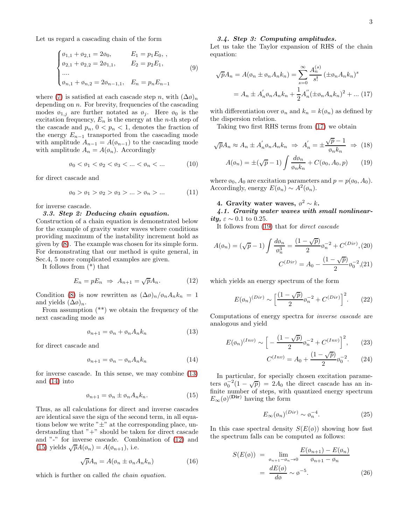Let us regard a cascading chain of the form

$$
\begin{cases}\n\phi_{1,1} + \phi_{2,1} = 2\phi_0, & E_1 = p_1 E_0, , \\
\phi_{2,1} + \phi_{2,2} = 2\phi_{1,1}, & E_2 = p_2 E_1, \\
\dots \\
\phi_{n,1} + \phi_{n,2} = 2\phi_{n-1,1}, & E_n = p_n E_{n-1}\n\end{cases}
$$
\n(9)

where [\(7\)](#page-1-0) is satisfied at each cascade step n, with  $(\Delta \phi)_n$ depending on  $n$ . For brevity, frequencies of the cascading modes  $\varphi_{1,j}$  are further notated as  $\varphi_j$ . Here  $\varphi_0$  is the excitation frequency,  $E_n$  is the energy at the *n*-th step of the cascade and  $p_n$ ,  $0 < p_n < 1$ , denotes the fraction of the energy  $E_{n-1}$  transported from the cascading mode with amplitude  $A_{n-1} = A(\phi_{n-1})$  to the cascading mode with amplitude  $A_n = A(\phi_n)$ . Accordingly

$$
\emptyset_0 < \emptyset_1 < \emptyset_2 < \emptyset_3 < \dots < \emptyset_n < \dots \tag{10}
$$

for direct cascade and

$$
\phi_0 > \phi_1 > \phi_2 > \phi_3 > ... > \phi_n > ...
$$
\n(11)

for inverse cascade.

#### *3.3. Step 2: Deducing chain equation.*

Construction of a chain equation is demonstrated below for the example of gravity water waves where conditions providing maximum of the instability increment hold as given by [\(8\)](#page-1-1). The example was chosen for its simple form. For demonstrating that our method is quite general, in Sec.4, 5 more complicated examples are given.

It follows from (\*) that

<span id="page-2-2"></span>
$$
E_n = pE_n \Rightarrow A_{n+1} = \sqrt{p}A_n. \tag{12}
$$

Condition [\(8\)](#page-1-1) is now rewritten as  $(\Delta \phi)_n / \phi_n A_n k_n = 1$ and yields  $(\Delta \varphi)_n$ .

From assumption (\*\*) we obtain the frequency of the next cascading mode as

<span id="page-2-0"></span>
$$
\varphi_{n+1} = \varphi_n + \varphi_n A_n k_n \tag{13}
$$

for direct cascade and

<span id="page-2-1"></span>
$$
\varphi_{n+1} = \varphi_n - \varphi_n A_n k_n \tag{14}
$$

for inverse cascade. In this sense, we may combine [\(13\)](#page-2-0) and [\(14\)](#page-2-1) into

<span id="page-2-3"></span>
$$
\varphi_{n+1} = \varphi_n \pm \varphi_n A_n k_n. \tag{15}
$$

Thus, as all calculations for direct and inverse cascades are identical save the sign of the second term, in all equations below we write  $"_{\pm}"$  at the corresponding place, understanding that  $"+"$  should be taken for direct cascade and "-" for inverse cascade. Combination of [\(12\)](#page-2-2) and [\(15\)](#page-2-3) yields  $\sqrt{p}A(\phi_n) = A(\phi_{n+1}),$  i.e.

$$
\sqrt{p}A_n = A(\phi_n \pm \phi_n A_n k_n) \tag{16}
$$

which is further on called the *chain equation*.

### *3.4. Step 3: Computing amplitudes.*

Let us take the Taylor expansion of RHS of the chain equation:

<span id="page-2-4"></span>
$$
\sqrt{p}A_n = A(\phi_n \pm \phi_n A_n k_n) = \sum_{s=0}^{\infty} \frac{A_n^{(s)}}{s!} (\pm \phi_n A_n k_n)^s
$$

$$
= A_n \pm A_n' \phi_n A_n k_n + \frac{1}{2} A_n'' (\pm \phi_n A_n k_n)^2 + \dots (17)
$$

with differentiation over  $\phi_n$  and  $k_n = k(\phi_n)$  as defined by the dispersion relation.

Taking two first RHS terms from [\(17\)](#page-2-4) we obtain

<span id="page-2-5"></span>
$$
\sqrt{p}A_n \approx A_n \pm A'_n \phi_n A_n k_n \Rightarrow A'_n = \pm \frac{\sqrt{p}-1}{\phi_n k_n} \Rightarrow (18)
$$

$$
A(\phi_n) = \pm (\sqrt{p} - 1) \int \frac{d\phi_n}{\phi_n k_n} + C(\phi_0, A_0, p) \tag{19}
$$

where  $\varphi_0$ ,  $A_0$  are excitation parameters and  $p = p(\varphi_0, A_0)$ . Accordingly, energy  $E(\phi_n) \sim A^2(\phi_n)$ .

# 4. Gravity water waves,  $\phi^2 \sim k$ .

*4.1. Gravity water waves with small nonlinearity,*  $\varepsilon \sim 0.1$  to 0.25.

It follows from [\(19\)](#page-2-5) that for direct cascade

$$
A(\phi_n) = (\sqrt{p} - 1) \int \frac{d\phi_n}{\phi_n^3} = \frac{(1 - \sqrt{p})}{2} \phi_n^{-2} + C^{(Dir)}, (20)
$$

$$
C^{(Dir)} = A_0 - \frac{(1 - \sqrt{p})}{2} \phi_0^{-2}, (21)
$$

which yields an energy spectrum of the form

$$
E(\phi_n)^{(Dir)} \sim \left[\frac{(1-\sqrt{p})}{2}\phi_n^{-2} + C^{(Dir)}\right]^2.
$$
 (22)

Computations of energy spectra for inverse cascade are analogous and yield

$$
E(\phi_n)^{(Inv)} \sim \left[ -\frac{(1-\sqrt{p})}{2} \phi_n^{-2} + C^{(Inv)} \right]^2, \quad (23)
$$

$$
C^{(Inv)} = A_0 + \frac{(1 - \sqrt{p})}{2} \varphi_0^{-2}.
$$
 (24)

In particular, for specially chosen excitation parameters  $\varphi_0^{-2}(1-\sqrt{p}) = 2A_0$  the direct cascade has an infinite number of steps, with quantized energy spectrum  $E_{\infty}(\phi)^{(\textbf{Dir})}$  having the form

<span id="page-2-6"></span>
$$
E_{\infty}(\phi_n)^{(Dir)} \sim \phi_n^{-4}.
$$
\n(25)

In this case spectral density  $S(E(\phi))$  showing how fast the spectrum falls can be computed as follows:

$$
S(E(\emptyset)) = \lim_{\substack{\emptyset_{n+1} - \emptyset_n \to 0}} \frac{E(\emptyset_{n+1}) - E(\emptyset_n)}{\emptyset_{n+1} - \emptyset_n}
$$

$$
= \frac{dE(\emptyset)}{d\emptyset} \sim \emptyset^{-5}.
$$
(26)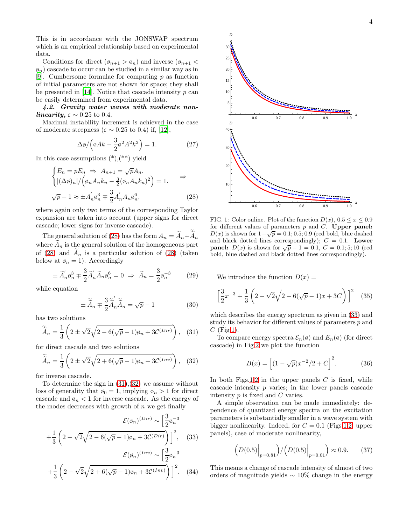This is in accordance with the JONSWAP spectrum which is an empirical relationship based on experimental data.

Conditions for direct  $(\varphi_{n+1} > \varphi_n)$  and inverse  $(\varphi_{n+1} <$  $\varphi_n$ ) cascade to occur can be studied in a similar way as in [\[9\]](#page-5-6). Cumbersome formulae for computing  $p$  as function of initial parameters are not shown for space; they shall be presented in [\[14\]](#page-5-12). Notice that cascade intensity  $p$  can be easily determined from experimental data.

*4.2. Gravity water waves with moderate nonlinearity,*  $\varepsilon \sim 0.25$  to 0.4.

Maximal instability increment is achieved in the case of moderate steepness ( $\varepsilon \sim 0.25$  to 0.4) if, [\[12](#page-5-9)],

$$
\Delta \phi / \left( \phi A k - \frac{3}{2} \phi^2 A^2 k^2 \right) = 1. \tag{27}
$$

In this case assumptions  $(*),(**)$  yield

<span id="page-3-0"></span>
$$
\begin{cases}\nE_n = pE_n \Rightarrow A_{n+1} = \sqrt{p}A_n, \\
|\Delta \phi_n| / (\phi_n A_n k_n - \frac{3}{2} (\phi_n A_n k_n)^2) = 1. \quad \Rightarrow \\
\sqrt{p} - 1 \approx \pm A_n' \phi_n^3 \mp \frac{3}{2} A_n' A_n \phi_n^6,\n\end{cases} \tag{28}
$$

where again only two terms of the corresponding Taylor expansion are taken into account (upper signs for direct cascade; lower signs for inverse cascade).

The general solution of [\(28\)](#page-3-0) has the form  $A_n = A_n + A_n$ where  $A_n$  is the general solution of the homogeneous part of [\(28\)](#page-3-0) and  $A_n$  is a particular solution of (28) (taken below at  $\varphi_n = 1$ ). Accordingly

$$
\pm \widetilde{A}_n' \mathfrak{g}_n^3 \mp \frac{3}{2} \widetilde{A}_n' \widetilde{A}_n \mathfrak{g}_n^6 = 0 \Rightarrow \widetilde{A}_n = \frac{3}{2} \mathfrak{g}_n^{-3} \tag{29}
$$

while equation

$$
\pm \widetilde{\widetilde{A}}_n \mp \frac{3}{2} \widetilde{\widetilde{A}}_n \widetilde{\widetilde{A}}_n = \sqrt{p} - 1 \tag{30}
$$

has two solutions

<span id="page-3-1"></span>
$$
\widetilde{\widetilde{A}}_n = \frac{1}{3} \left( 2 \pm \sqrt{2} \sqrt{2 - 6(\sqrt{p} - 1)\omega_n + 3\mathcal{C}^{(Dir)}} \right), \quad (31)
$$

for direct cascade and two solutions

<span id="page-3-2"></span>
$$
\widetilde{\widetilde{A}}_n = \frac{1}{3} \left( 2 \pm \sqrt{2} \sqrt{2 + 6(\sqrt{p} - 1)\omega_n + 3\mathcal{C}^{(Inv)}} \right), \quad (32)
$$

for inverse cascade.

To determine the sign in  $(31),(32)$  $(31),(32)$  we assume without loss of generality that  $\varphi_0 = 1$ , implying  $\varphi_n > 1$  for direct cascade and  $\varphi_n < 1$  for inverse cascade. As the energy of the modes decreases with growth of  $n$  we get finally

<span id="page-3-3"></span>
$$
\mathcal{E}(\phi_n)^{(Dir)} \sim \left[\frac{3}{2}\phi_n^{-3}\right]
$$

$$
+\frac{1}{3}\left(2-\sqrt{2}\sqrt{2-6(\sqrt{p}-1)\phi_n+3\mathcal{C}^{(Dir)}}\right)\Big]^2, \quad (33)
$$

$$
\mathcal{E}(\phi_n)^{(Inv)} \sim \left[\frac{3}{2}\phi_n^{-3}\right]
$$

$$
+\frac{1}{3}\left(2+\sqrt{2}\sqrt{2+6(\sqrt{p}-1)\omega_n+3\mathcal{C}^{(Inv)}}\right)\Big|^2.\quad(34)
$$



<span id="page-3-4"></span>FIG. 1: Color online. Plot of the function  $D(x)$ ,  $0.5 \leq x \leq 0.9$ for different values of parameters  $p$  and  $C$ . Upper panel:  $D(x)$  is shown for  $1 - \sqrt{p} = 0.1; 0.5; 0.9$  (red bold, blue dashed and black dotted lines correspondingly);  $C = 0.1$ . Lower **panel:**  $D(x)$  is shown for  $\sqrt{p} - 1 = 0.1$ ,  $C = 0.1$ ; 5; 10 (red bold, blue dashed and black dotted lines correspondingly).

We introduce the function  $D(x) =$ 

$$
\left[\frac{3}{2}x^{-3} + \frac{1}{3}\left(2 - \sqrt{2}\sqrt{2 - 6(\sqrt{p} - 1)x + 3C}\right)\right]^2 \quad (35)
$$

which describes the energy spectrum as given in [\(33\)](#page-3-3) and study its behavior for different values of parameters  $p$  and  $C$  (Fig[.1\)](#page-3-4).

To compare energy spectra  $\mathcal{E}_n(\emptyset)$  and  $E_n(\emptyset)$  (for direct cascade) in Fig[.2](#page-4-0) we plot the function

$$
B(x) = \left[ (1 - \sqrt{p})x^{-2}/2 + C \right]^2.
$$
 (36)

In both Figs[.1,](#page-3-4)[2](#page-4-0) in the upper panels  $C$  is fixed, while cascade intensity p varies; in the lower panels cascade intensity  $p$  is fixed and  $C$  varies.

A simple observation can be made immediately: dependence of quantized energy spectra on the excitation parameters is substantially smaller in a wave system with bigger nonlinearity. Indeed, for  $C = 0.1$  (Figs[.1,](#page-3-4)[2;](#page-4-0) upper panels), case of moderate nonlinearity,

$$
(D(0.5)\Big|_{p=0.81}) / (D(0.5)\Big|_{p=0.01}) \approx 0.9. \tag{37}
$$

This means a change of cascade intensity of almost of two orders of magnitude yields  $\sim 10\%$  change in the energy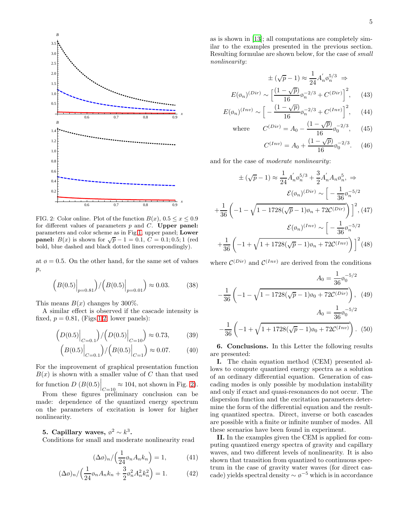

<span id="page-4-0"></span>FIG. 2: Color online. Plot of the function  $B(x)$ ,  $0.5 \le x \le 0.9$ for different values of parameters  $p$  and  $C$ . Upper panel: parameters and color scheme as in Fig[.1,](#page-3-4) upper panel; Lower **panel:**  $B(x)$  is shown for  $\sqrt{p} - 1 = 0.1$ ,  $C = 0.1$ ; 0.5; 1 (red bold, blue dashed and black dotted lines correspondingly).

at  $\varphi = 0.5$ . On the other hand, for the same set of values  $\mathfrak{p},$ 

$$
(B(0.5))\Big|_{p=0.81} / (B(0.5))\Big|_{p=0.01} \Big) \approx 0.03. \tag{38}
$$

This means  $B(x)$  changes by 300%.

A similar effect is observed if the cascade intensity is fixed,  $p = 0.81$ , (Figs[.1,](#page-3-4)[2;](#page-4-0) lower panels):

$$
(D(0.5)\Big|_{C=0.1})/(D(0.5)\Big|_{C=10}) \approx 0.73,\qquad(39)
$$

$$
(B(0.5)\Big|_{C=0.1})/(B(0.5)\Big|_{C=1}) \approx 0.07. \tag{40}
$$

For the improvement of graphical presentation function  $B(x)$  is shown with a smaller value of C than that used for function  $D(B(0.5)\Big|_{C=10} \approx 104$ , not shown in Fig. [2\)](#page-4-0).

From these figures preliminary conclusion can be made: dependence of the quantized energy spectrum on the parameters of excitation is lower for higher nonlinearity.

5. Capillary waves,  $\phi^2 \sim k^3$ .

Conditions for small and moderate nonlinearity read

$$
(\Delta \phi)_n / \left(\frac{1}{24} \phi_n A_n k_n\right) = 1,\tag{41}
$$

$$
(\Delta \phi)_n / \left(\frac{1}{24} \phi_n A_n k_n + \frac{3}{2} \phi_n^2 A_n^2 k_n^2\right) = 1.
$$
 (42)

$$
\pm (\sqrt{p} - 1) \approx \frac{1}{24} A'_n \phi_n^{5/3} \Rightarrow
$$

$$
E(\phi_n)^{(Dir)} \sim \left[ \frac{(1 - \sqrt{p})}{16} \phi_n^{-2/3} + C^{(Dir)} \right]^2, \quad (43)
$$

$$
E(\phi_n)^{(Inv)} \sim \left[ -\frac{(1-\sqrt{p})}{16} \phi_n^{-2/3} + C^{(Inv)} \right]^2, \quad (44)
$$

where 
$$
C^{(Dir)} = A_0 - \frac{(1 - \sqrt{p})}{16} \phi_0^{-2/3}
$$
, (45)

$$
C^{(Inv)} = A_0 + \frac{(1 - \sqrt{p})}{16} \phi_0^{-2/3}.
$$
 (46)

and for the case of moderate nonlinearity:

$$
\pm (\sqrt{p}-1) \approx \frac{1}{24} A'_n \sigma_n^{5/3} + \frac{3}{2} A'_n A_n \sigma_n^{5}, \Rightarrow
$$
  

$$
\mathcal{E}(\phi_n)^{(Dir)} \sim \left[ -\frac{1}{36} \phi_n^{-5/2} + \frac{1}{36} \left( -1 - \sqrt{1 - 1728(\sqrt{p} - 1)\phi_n + 72 \mathcal{C}^{(Dir)}} \right) \right]^2, (47)
$$
  

$$
\mathcal{E}(\phi_n)^{(Inv)} \sim \left[ -\frac{1}{36} \phi_n^{-5/2} + \frac{1}{36} \left( -1 + \sqrt{1 + 1728(\sqrt{p} - 1)\phi_n + 72 \mathcal{C}^{(Inv)}} \right) \right]^2 (48)
$$

where  $\mathcal{C}^{(Dir)}$  and  $\mathcal{C}^{(Inv)}$  are derived from the conditions

$$
A_0 = \frac{1}{36} \phi_0^{-5/2}
$$

$$
-\frac{1}{36} \left(-1 - \sqrt{1 - 1728(\sqrt{p} - 1)\omega_0 + 72 \mathcal{C}^{(Dir)}}\right), \quad (49)
$$

$$
A_0 = \frac{1}{36} \phi_0^{-5/2}
$$

$$
-\frac{1}{36} \left(-1 + \sqrt{1 + 1728(\sqrt{p} - 1)\omega_0 + 72 \mathcal{C}^{(Inv)}}\right). \quad (50)
$$

6. Conclusions. In this Letter the following results are presented:

I. The chain equation method (CEM) presented allows to compute quantized energy spectra as a solution of an ordinary differential equation. Generation of cascading modes is only possible by modulation instability and only if exact and quasi-resonances do not occur. The dispersion function and the excitation parameters determine the form of the differential equation and the resulting quantized spectra. Direct, inverse or both cascades are possible with a finite or infinite number of modes. All these scenarios have been found in experiment.

II. In the examples given the CEM is applied for computing quantized energy spectra of gravity and capillary waves, and two different levels of nonlinearity. It is also shown that transition from quantized to continuous spectrum in the case of gravity water waves (for direct cascade) yields spectral density  $\sim \varphi^{-5}$  which is in accordance